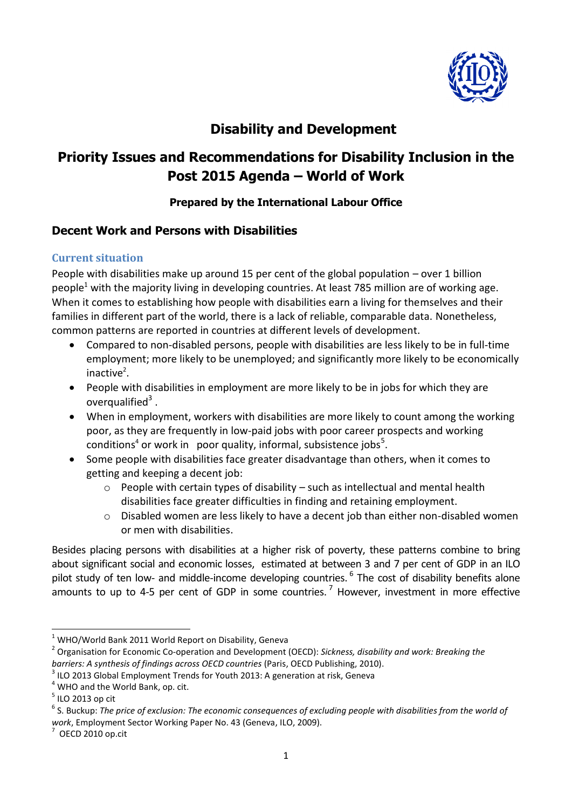

## **Disability and Development**

# **Priority Issues and Recommendations for Disability Inclusion in the Post 2015 Agenda – World of Work**

#### **Prepared by the International Labour Office**

## **Decent Work and Persons with Disabilities**

#### **Current situation**

People with disabilities make up around 15 per cent of the global population – over 1 billion people<sup>1</sup> with the majority living in developing countries. At least 785 million are of working age. When it comes to establishing how people with disabilities earn a living for themselves and their families in different part of the world, there is a lack of reliable, comparable data. Nonetheless, common patterns are reported in countries at different levels of development.

- Compared to non-disabled persons, people with disabilities are less likely to be in full-time employment; more likely to be unemployed; and significantly more likely to be economically inactive<sup>2</sup>.
- People with disabilities in employment are more likely to be in jobs for which they are overqualified $3$ .
- When in employment, workers with disabilities are more likely to count among the working poor, as they are frequently in low-paid jobs with poor career prospects and working conditions<sup>4</sup> or work in poor quality, informal, subsistence jobs<sup>5</sup>.
- Some people with disabilities face greater disadvantage than others, when it comes to getting and keeping a decent job:
	- o People with certain types of disability such as intellectual and mental health disabilities face greater difficulties in finding and retaining employment.
	- o Disabled women are less likely to have a decent job than either non-disabled women or men with disabilities.

Besides placing persons with disabilities at a higher risk of poverty, these patterns combine to bring about significant social and economic losses, estimated at between 3 and 7 per cent of GDP in an ILO pilot study of ten low- and middle-income developing countries. <sup>6</sup> The cost of disability benefits alone amounts to up to 4-5 per cent of GDP in some countries.<sup>7</sup> However, investment in more effective

**.** 

 $1$  WHO/World Bank 2011 World Report on Disability, Geneva

<sup>2</sup> Organisation for Economic Co-operation and Development (OECD): *Sickness, disability and work: Breaking the barriers: A synthesis of findings across OECD countries* (Paris, OECD Publishing, 2010).

 $3$  ILO 2013 Global Employment Trends for Youth 2013: A generation at risk, Geneva

 $4$  WHO and the World Bank, op. cit.

 $<sup>5</sup>$  ILO 2013 op cit</sup>

 $^6$  S. Buckup: The price of exclusion: The economic consequences of excluding people with disabilities from the world of *work*, Employment Sector Working Paper No. 43 (Geneva, ILO, 2009).

 $7$  OECD 2010 op.cit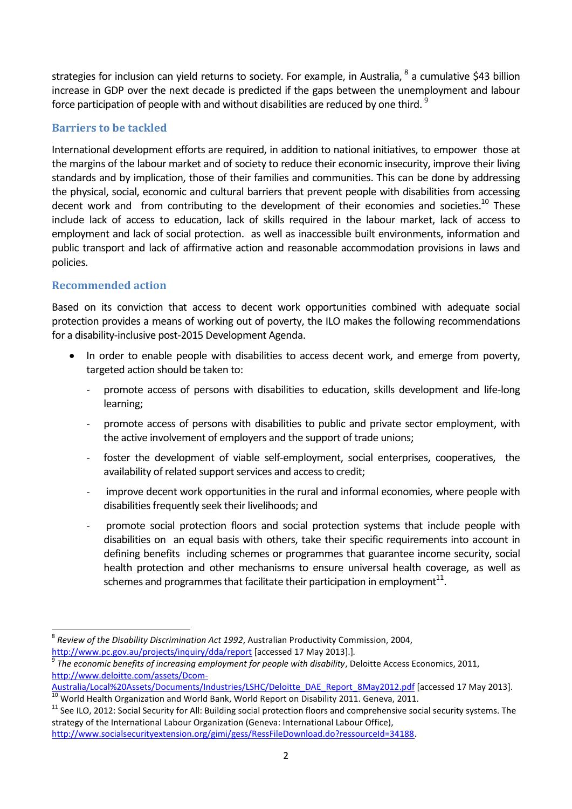strategies for inclusion can yield returns to society. For example, in Australia, <sup>8</sup> a cumulative \$43 billion increase in GDP over the next decade is predicted if the gaps between the unemployment and labour force participation of people with and without disabilities are reduced by one third. <sup>9</sup>

#### **Barriers to be tackled**

International development efforts are required, in addition to national initiatives, to empower those at the margins of the labour market and of society to reduce their economic insecurity, improve their living standards and by implication, those of their families and communities. This can be done by addressing the physical, social, economic and cultural barriers that prevent people with disabilities from accessing decent work and from contributing to the development of their economies and societies.<sup>10</sup> These include lack of access to education, lack of skills required in the labour market, lack of access to employment and lack of social protection. as well as inaccessible built environments, information and public transport and lack of affirmative action and reasonable accommodation provisions in laws and policies.

## **Recommended action**

**.** 

Based on its conviction that access to decent work opportunities combined with adequate social protection provides a means of working out of poverty, the ILO makes the following recommendations for a disability-inclusive post-2015 Development Agenda.

- In order to enable people with disabilities to access decent work, and emerge from poverty, targeted action should be taken to:
	- promote access of persons with disabilities to education, skills development and life-long learning;
	- promote access of persons with disabilities to public and private sector employment, with the active involvement of employers and the support of trade unions;
	- foster the development of viable self-employment, social enterprises, cooperatives, the availability of related support services and access to credit;
	- improve decent work opportunities in the rural and informal economies, where people with disabilities frequently seek their livelihoods; and
	- promote social protection floors and social protection systems that include people with disabilities on an equal basis with others, take their specific requirements into account in defining benefits including schemes or programmes that guarantee income security, social health protection and other mechanisms to ensure universal health coverage, as well as schemes and programmes that facilitate their participation in employment $^{\rm 11}.$

<sup>8</sup> *Review of the Disability Discrimination Act 1992*, Australian Productivity Commission, 2004, <http://www.pc.gov.au/projects/inquiry/dda/report> [accessed 17 May 2013].]*.*

<sup>9</sup> *The economic benefits of increasing employment for people with disability*, Deloitte Access Economics, 2011, [http://www.deloitte.com/assets/Dcom-](http://www.deloitte.com/assets/Dcom-Australia/Local%20Assets/Documents/Industries/LSHC/Deloitte_DAE_Report_8May2012.pdf)

[Australia/Local%20Assets/Documents/Industries/LSHC/Deloitte\\_DAE\\_Report\\_8May2012.pdf](http://www.deloitte.com/assets/Dcom-Australia/Local%20Assets/Documents/Industries/LSHC/Deloitte_DAE_Report_8May2012.pdf) [accessed 17 May 2013].

 $10$  World Health Organization and World Bank, World Report on Disability 2011. Geneva, 2011.

<sup>&</sup>lt;sup>11</sup> See ILO, 2012: Social Security for All: Building social protection floors and comprehensive social security systems. The strategy of the International Labour Organization (Geneva: International Labour Office), [http://www.socialsecurityextension.org/gimi/gess/RessFileDownload.do?ressourceId=34188.](http://www.socialsecurityextension.org/gimi/gess/RessFileDownload.do?ressourceId=34188)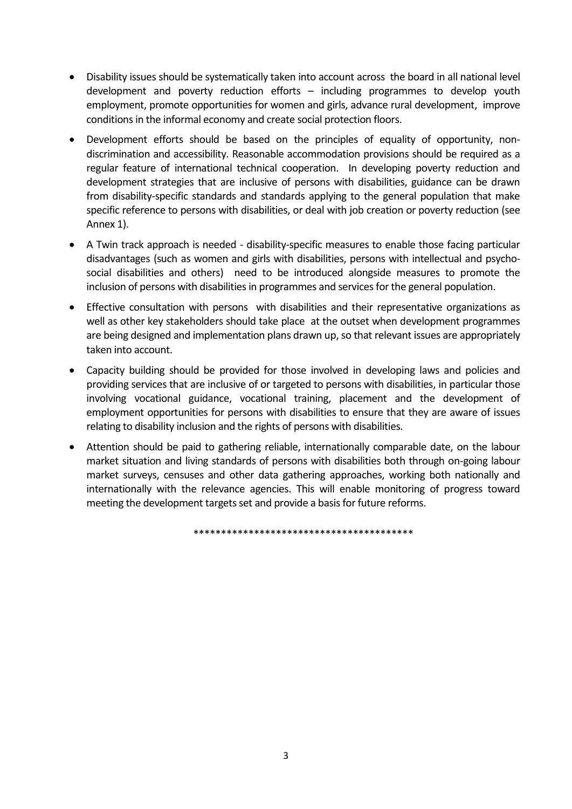- Disability issues should be systematically taken into account across the board in all national level development and poverty reduction efforts – including programmes to develop youth employment, promote opportunities for women and girls, advance rural development, improve conditions in the informal economy and create social protection floors.
- Development efforts should be based on the principles of equality of opportunity, nondiscrimination and accessibility. Reasonable accommodation provisions should be required as a regular feature of international technical cooperation. In developing poverty reduction and development strategies that are inclusive of persons with disabilities, guidance can be drawn from disability-specific standards and standards applying to the general population that make specific reference to persons with disabilities, or deal with job creation or poverty reduction (see Annex 1).
- A Twin track approach is needed disability-specific measures to enable those facing particular disadvantages (such as women and girls with disabilities, persons with intellectual and psychosocial disabilities and others) need to be introduced alongside measures to promote the inclusion of persons with disabilities in programmes and services for the general population.
- Effective consultation with persons with disabilities and their representative organizations as well as other key stakeholders should take place at the outset when development programmes are being designed and implementation plans drawn up, so that relevant issues are appropriately taken into account.
- Capacity building should be provided for those involved in developing laws and policies and providing services that are inclusive of or targeted to persons with disabilities, in particular those involving vocational guidance, vocational training, placement and the development of employment opportunities for persons with disabilities to ensure that they are aware of issues relating to disability inclusion and the rights of persons with disabilities.
- Attention should be paid to gathering reliable, internationally comparable date, on the labour market situation and living standards of persons with disabilities both through on-going labour market surveys, censuses and other data gathering approaches, working both nationally and internationally with the relevance agencies. This will enable monitoring of progress toward meeting the development targets set and provide a basis for future reforms.

\*\*\*\*\*\*\*\*\*\*\*\*\*\*\*\*\*\*\*\*\*\*\*\*\*\*\*\*\*\*\*\*\*\*\*\*\*\*\*\*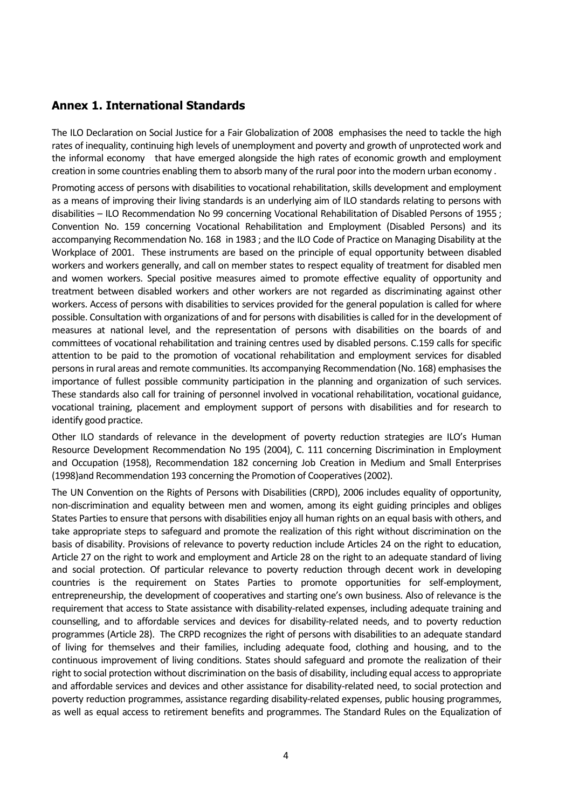#### **Annex 1. International Standards**

The ILO Declaration on Social Justice for a Fair Globalization of 2008 emphasises the need to tackle the high rates of inequality, continuing high levels of unemployment and poverty and growth of unprotected work and the informal economy that have emerged alongside the high rates of economic growth and employment creation in some countries enabling them to absorb many of the rural poor into the modern urban economy .

Promoting access of persons with disabilities to vocational rehabilitation, skills development and employment as a means of improving their living standards is an underlying aim of ILO standards relating to persons with disabilities – ILO Recommendation No 99 concerning Vocational Rehabilitation of Disabled Persons of 1955 ; Convention No. 159 concerning Vocational Rehabilitation and Employment (Disabled Persons) and its accompanying Recommendation No. 168 in 1983 ; and the ILO Code of Practice on Managing Disability at the Workplace of 2001. These instruments are based on the principle of equal opportunity between disabled workers and workers generally, and call on member states to respect equality of treatment for disabled men and women workers. Special positive measures aimed to promote effective equality of opportunity and treatment between disabled workers and other workers are not regarded as discriminating against other workers. Access of persons with disabilities to services provided for the general population is called for where possible. Consultation with organizations of and for persons with disabilities is called for in the development of measures at national level, and the representation of persons with disabilities on the boards of and committees of vocational rehabilitation and training centres used by disabled persons. C.159 calls for specific attention to be paid to the promotion of vocational rehabilitation and employment services for disabled persons in rural areas and remote communities. Its accompanying Recommendation (No. 168) emphasisesthe importance of fullest possible community participation in the planning and organization of such services. These standards also call for training of personnel involved in vocational rehabilitation, vocational guidance, vocational training, placement and employment support of persons with disabilities and for research to identify good practice.

Other ILO standards of relevance in the development of poverty reduction strategies are ILO's Human Resource Development Recommendation No 195 (2004), C. 111 concerning Discrimination in Employment and Occupation (1958), Recommendation 182 concerning Job Creation in Medium and Small Enterprises (1998)and Recommendation 193 concerning the Promotion of Cooperatives(2002).

The UN Convention on the Rights of Persons with Disabilities (CRPD), 2006 includes equality of opportunity, non-discrimination and equality between men and women, among its eight guiding principles and obliges States Parties to ensure that persons with disabilities enjoy all human rights on an equal basis with others, and take appropriate steps to safeguard and promote the realization of this right without discrimination on the basis of disability. Provisions of relevance to poverty reduction include Articles 24 on the right to education, Article 27 on the right to work and employment and Article 28 on the right to an adequate standard of living and social protection. Of particular relevance to poverty reduction through decent work in developing countries is the requirement on States Parties to promote opportunities for self-employment, entrepreneurship, the development of cooperatives and starting one's own business. Also of relevance is the requirement that access to State assistance with disability-related expenses, including adequate training and counselling, and to affordable services and devices for disability-related needs, and to poverty reduction programmes (Article 28). The CRPD recognizes the right of persons with disabilities to an adequate standard of living for themselves and their families, including adequate food, clothing and housing, and to the continuous improvement of living conditions. States should safeguard and promote the realization of their right to social protection without discrimination on the basis of disability, including equal access to appropriate and affordable services and devices and other assistance for disability-related need, to social protection and poverty reduction programmes, assistance regarding disability-related expenses, public housing programmes, as well as equal access to retirement benefits and programmes. The Standard Rules on the Equalization of